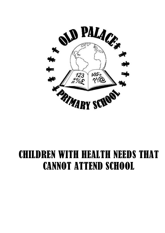

# CHILDREN WITH HEALTH NEEDS THAT CANNOT ATTEND SCHOOL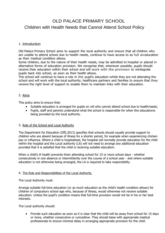# OLD PALACE PRIMARY SCHOOL Children with Health Needs that Cannot Attend School Policy

# 1. Introduction

Old Palace Primary School aims to support the local authority and ensure that all children who are unable to attend school due to health needs, continue to have access to as full an education as their medical condition allows.

Some children, due to the nature of their health needs, may be admitted to hospital or placed in alternative forms of education provision. We recognise that, whenever possible, pupils should receive their education within their school and will work with the provision to reintegrate pupils back into school, as soon as their health allows.

The school will continue to have a role in the pupil's education whilst they are not attending the school and will work with the local authority, healthcare partners and families to ensure that they receive the right level of support to enable them to maintain links with their education.

# 2. Aims

This policy aims to ensure that:

- Suitable education is arranged for pupils on roll who cannot attend school due to healthneeds;
- Pupils, staff and parents understand what the school is responsible for when this educationis being provided by the local authority.

# 3. Role of the School and Local Authority

The Department for Education (DfE,2013) specifies that schools should usually provide support to children who are absent because of illness for a shorter period, for example when experiencing chicken pox or influenza. Where a child is hospitalised, the hospital will normally provide education for the child within the hospital and the Local authority (LA) will not need to arrange any additional education provided that it is satisfied that the child is receiving suitable education.

When a child's ill health prevents them attending school for 15 or more school days - whether consecutively in one absence or intermittently over the course of a school year - and where suitable education is not otherwise being arranged, the LA is required to take responsibility.

# 4. The Role and Responsibilities of the Local Authority

The Local Authority must:

Arrange suitable full-time education (or as much education as the child's health condition allows) for children of compulsory school age who, because of illness, would otherwise not receive suitable education. Unless the pupil's condition means that full-time provision would not be in his or her best interests.

The Local authority should:

 Provide such education as soon as it is clear that the child will be away from school for 15 days or more, whether consecutive or cumulative. They should liaise with appropriate medical professionals to ensure minimal delay in arranging appropriate provision for the child.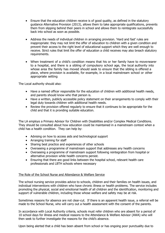- Ensure that the education children receive is of good quality, as defined in the statutory guidance Alternative Provision (2013), allows them to take appropriate qualifications, prevents them from slipping behind their peers in school and allows them to reintegrate successfully back into school as soon as possible.
- Address the needs of individual children in arranging provision. 'Hard and fast' rules are inappropriate: they may not limit the offer of education to children with a given condition and prevent their access to the right level of educational support which they are well enough to receive. Strict rules that limit the offer of education a child receives may also breach statutory requirements.
- When treatment of a child's condition means that his or her family have to movenearer to a hospital, and there is a sibling of compulsory school age, the local authority into whose area the family has moved should seek to ensure that the sibling is offered a place, where provision is available, for example, in a local mainstream school or other appropriate setting

The Local authority should also:

- Have a named officer responsible for the education of children with additional health needs, and parents should know who that person is.
- Have a written, publicly accessible policy statement on their arrangements to comply with their legal duty towards children with additional health needs.
- Review the provision offered regularly to ensure that it continues to be appropriate for the child and that it is providing suitable education.

The LA employs a Primary Advisor for Children with Disabilities and/or Complex Medical Conditions. They should be consulted about how education could be maintained in a mainstream context when a child has a health condition. They can help by:

- Advising on how to access aids and technological support
- Arranging training for staff
- Sharing best practice and experiences of other schools
- Overseeing a programme of mainstream support that addresses any health concerns
- Overseeing a programme of mainstream support following reintegration from hospital or alternative provision while health concerns persist.
- Ensuring that there are good links between the hospital school, relevant health care professionals and LBTH schools where necessary

# The Role of the School Nurse and Attendance & Welfare Service

The school nursing service provides advice to schools, children and their families on health issues, and individual interventions with children who have chronic illness or health problems. The service includes promoting the physical, social and emotional health of all children and the identification, monitoring and support of vulnerable children, including those whose welfare and safety may be at risk.

Sometimes reasons for absence are not clear-cut. If there is an apparent health issue, a referral will be made to the School Nurse, who will carry out a health assessment with the consent of the parents.

In accordance with Local Authority criteria, schools must refer children who are absent for a period of 10 school days for illness and medical reasons to the Attendance & Welfare Advisor (AWA) who will then seek to further investigate the reasons for the child's absence.

Upon being alerted that a child has been absent from school or has ongoing poor punctuality due to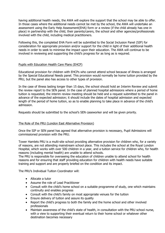having additional health needs, the AWA will explore the support that the school may be able to offer. In those cases where the additional needs cannot be met by the school, the AWA will undertake an assessment using the Early Help Assessment(EHA) form or a review (if the child already has one in place) in partnership with the child, their parents/carers, the school and other agencies/professionals involved with the child, including medical practitioners.

Following this, the completed EHA Form will be submitted to the Social Inclusion Panel (SIP) for consideration for appropriate provision and/or support for the child in light of their additional health needs in order to seek to minimise the impact upon their education. The AWA will continue to be involved in reviewing and supporting the child's progress for as long as is required.

# Pupils with Education Health Care Plans (EHCP)

Educational provision for children with EHCPs who cannot attend school because of illness is arranged by the Special Educational Needs panel. This provision would normally be home tuition provided by the PRU, but the panel also has access to other types of provision.

In the case of illness lasting longer than 15 days, the school should hold an Interim Review and submit the review report to the SEN panel. In the case of planned hospital admissions where a period of home tuition is requested, the interim review meeting should be held and a request submitted to the panel in advance of the expected admission; it should include the dates of hospital admission and expected length of the period of home tuition, so as to enable planning to take place in advance of the child's admission.

Requests should be submitted to the school's SEN caseworker and will be given priority.

#### The Role of the PRU (London East Alternative Provision)

Once the SIP or SEN panel has agreed that alternative provision is necessary, Pupil Admissions will commissioned provision with the PRU.

Tower Hamlets PRU is a multi-site school providing alternative provision for children who, for a variety of reasons, are not attending mainstream school place. This includes the school at the Royal London Hospital, which works with over 500 children in a year, and a tuition service for children who, for health reasons (including mental health) are unable to attend schools.

The PRU is responsible for overseeing the education of children unable to attend school for health reasons and for ensuring that staff providing education for children with health needs have suitable training and support and are properly briefed on the condition and its impact.

The PRU's Individual Tuition Coordinator will:

- Allocate a tutor
- Assume the role of Lead Practitioner
- Consult with the child's home school on a suitable programme of study, one which maintains continuity and enables progress
- Consult with the child's family on most appropriate venues for the tuition
- Ensure delivery of tuition and assure its quality
- Report the child's progress to both the family and the home school and other involved professionals
- Maintain awareness of the child's state of health, in consultation with the PRU school nurse, with a view to supporting their eventual return to their home school or whatever other destination becomes necessary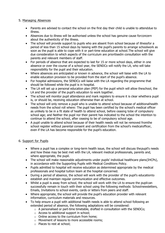# 5. Managing Absences

- Parents are advised to contact the school on the first day their child is unable to attenddue to illness.
- Absences due to illness will be authorised unless the school has genuine cause forconcern about the authenticity of the illness.
- The school will provide support to pupils who are absent from school because of illnessfor a period of less than 15 school days by liaising with the pupil's parents to arrange schoolwork as soon as the pupil is able to cope with it or part-time education at school.The school will give due consideration to which aspects of the curriculum are prioritisedin consultation with the parents and relevant members of staff.
- For periods of absence that are expected to last for 15 or more school days, either in one absence or over the course of a school year, the SENDCo will notify the LA, who will take responsibility for the pupil and their education.
- Where absences are anticipated or known in advance, the school will liaise with the LA to enable education provision to be provided from the start of the pupil's absence.
- For hospital admissions, the SENDCo will liaise with the LA regarding the programme that should be followed while the pupil is in hospital.
- The LA will set up a personal education plan (PEP) for the pupil which will allow theschool, the LA and the provider of the pupil's education to work together.
- The school will monitor pupil attendance and mark registers to ensure it is clear whethera pupil is, or should be, receiving education otherwise than at school.
- The school will only remove a pupil who is unable to attend school because of additionalhealth needs from the school roll where: The pupil has been certified by the school's medical officer as unlikely to be in a fit state of health to attend school, before ceasing tobe of compulsory school age; and Neither the pupil nor their parent has indicated to the school the intention to continue to attend the school, after ceasing to be of compulsory school age.
- A pupil unable to attend school because of their health needs will not be removed fromthe school register without parental consent and certification from the school's medicalofficer, even if the LA has become responsible for the pupil's education.

# 6. Support for Pupils

- Where a pupil has a complex or long-term health issue, the school will discuss thepupil's needs and how these may be best met with the LA, relevant medical professionals, parents and, where appropriate, the pupil.
- The school will make reasonable adjustments under pupils' individual healthcare plans(IHCPs), in accordance with the Supporting Pupils with Medical Conditions Policy.
- Pupils admitted to hospital will receive education as determined appropriate by the medical professionals and hospital tuition team at the hospital concerned.
- During a period of absence, the school will work with the provider of the pupil's educationto establish and maintain regular communication and effective outcomes.
- Whilst a pupil is away from school, the school will work with the LA to ensure the pupilcan successfully remain in touch with their school using the following methods: Schoolnewsletters, Emails, Invitations to school events, cards or letters from peers and staff.
- Where appropriate, the school will provide the pupil's education provider with relevant information, curriculum materials and resources.
- To help ensure a pupil with additional health needs is able to attend school following an extended period of absence, the following adaptations will be considered:
	- o A personalised or part-time timetable, drafted in consultation with the SENDCo;
	- o Access to additional support in school;
	- o Online access to the curriculum from home;
	- o Movement of lessons to more accessible rooms;
	- o Places to rest at school;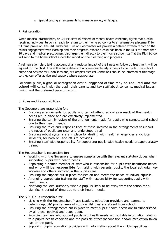$\circ$  Special testing arrangements to manage anxiety or fatigue.

# 7. Reintegration

When medical practitioners, or CAMHS staff in respect of mental health concerns, agree that a child receiving individual tuition is ready to return to their home school (or to an alternative placement) for full time provision, the PRU Individual Tuition Coordinator will provide a detailed written report on the child's engagement with learning and their progress. Where a child has been in the RLH for more than 10 days and medical practitioners discharge them directly to their home school, staff at the RLH School will send to the home school a detailed report on their learning and progress.

A reintegration plan, taking account of any residual impact of the illness or follow up treatment, will be agreed for the child. This will include details of any reasonable adjustments to be made. The school nurse and Advisor for Disabilities and/or Complex Medical Conditions should be informed at this stage so they can offer advice and support where appropriate.

For some pupils, a gradual reintegration over a longperiod of time may be required and the school will consult with the pupil, their parents and key staff about concerns, medical issues, timing and the preferred pace of return.

#### 8. Roles and Responsibilities

The Governors are responsible for:

- Ensuring arrangements for pupils who cannot attend school as a result of theirhealth needs are in place and are effectively implemented.
- Ensuring the termly review of the arrangements made for pupils who cannotattend school due to their health needs.
- Ensuring the roles and responsibilities of those involved in the arrangements tosupport the needs of pupils are clear and understood by all.
- Ensuring robust systems are in place for dealing with health emergencies andcritical incidents, for both on- and off-site activities.
- Ensuring staff with responsibility for supporting pupils with health needs areappropriately trained.

The Headteacher is responsible for:

- Working with the Governors to ensure compliance with the relevant statutoryduties when supporting pupils with health needs.
- Appointing a named member of staff who is responsible for pupils with healthcare needs and who will be responsible for liaising with parents, pupils, the local authority, key workers and others involved in the pupil's care.
- Ensuring the support put in place focuses on and meets the needs of individualpupils.
- Arranging appropriate training for staff with responsibility for supportingpupils with health needs.
- Notifying the local authority when a pupil is likely to be away from the schoolfor a significant period of time due to their health needs.

The SENDCo is responsible for:

- Liaising with the Headteacher, Phase Leaders, education providers and parents to determinepupils' programmes of study whilst they are absent from school.
- Ensuring the arrangements put in place to meet pupils' health needs are fullyunderstood by all those involved and acted upon.
- Providing teachers who support pupils with health needs with suitable information relating to a pupil's health condition and the possible effect thecondition and/or medication taken has on the pupil.
- Supplying pupils' education providers with information about the child'scapabilities,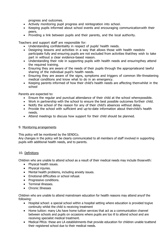progress and outcomes.

- Actively monitoring pupil progress and reintegration into school.
- Keeping pupils informed about school events and encouraging communicationwith their peers.
- Providing a link between pupils and their parents, and the local authority.

Teachers and support staff are responsible for:

- Understanding confidentiality in respect of pupils' health needs.
- Designing lessons and activities in a way that allows those with health needsto participate fully and ensuring pupils are not excluded from activities thatthey wish to take part in without a clear evidence-based reason.
- Understanding their role in supporting pupils with health needs and ensuringthey attend the required training.
- Ensuring they are aware of the needs of their pupils through the appropriateand lawful sharing of the individual pupil's health needs.
- Ensuring they are aware of the signs, symptoms and triggers of common life-threatening medical conditions and know what to do in an emergency.
- Keeping parents informed of how their child's health needs are affecting themwhilst in the school

Parents are expected to:

- Ensure the regular and punctual attendance of their child at the school wherepossible.
- Work in partnership with the school to ensure the best possible outcomes fortheir child.
- Notify the school of the reason for any of their child's absences without delay.
- Provide the school with sufficient and up-to-date information about theirchild's health needs.
- Attend meetings to discuss how support for their child should be planned.

#### 9. Monitoring arrangements

This policy will be monitored by the SENDCo.

Any changes in the policy will be clearly communicated to all members of staff involved in supporting pupils with additional health needs, and to parents.

#### 10. Definitions

Children who are unable to attend school as a result of their medical needs may include thosewith:

- Physical health issues.
- Physical injuries.
- Mental health problems, including anxiety issues.
- Emotional difficulties or school refusal.
- Progressive conditions.
- Terminal illnesses.
- Chronic Illnesses

Children who are unable to attend mainstream education for health reasons may attend anyof the following:

- Hospital school: a special school within a hospital setting where education is provided togive continuity whilst the child is receiving treatment
- Home tuition: many LAs have home tuition services that act as a communication channel between schools and pupils on occasions where pupils are too ill to attend school and are receiving specialist medical treatment.
- Medical PRUs: these are LA establishments that provide education for children unable toattend their registered school due to their medical needs.